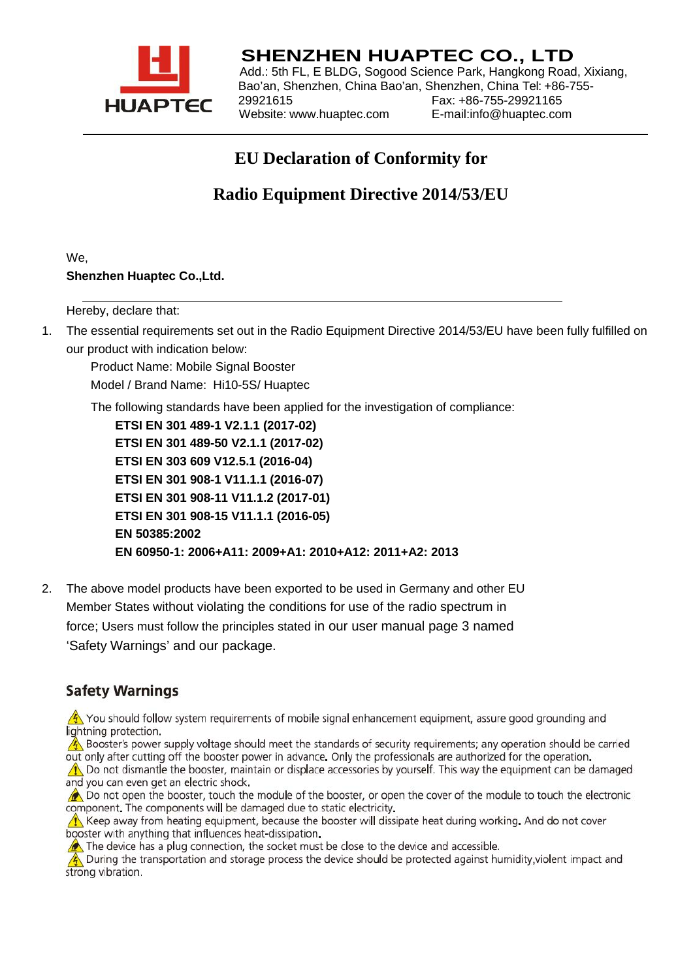

## **SHENZHEN HUAPTEC CO., LTD**

Add.: 5th FL, E BLDG, Sogood Science Park, Hangkong Road, Xixiang, Bao'an, Shenzhen, China Bao'an, Shenzhen, China Tel: +86-755- 29921615 Fax: +86-755-29921165 Website: [www.huaptec.com](http://www.huaptec.com/)

## **EU Declaration of Conformity for**

**Radio Equipment Directive 2014/53/EU**

We, **Shenzhen Huaptec Co.,Ltd.**

Hereby, declare that:

1. The essential requirements set out in the Radio Equipment Directive 2014/53/EU have been fully fulfilled on our product with indication below:

Product Name: Mobile Signal Booster Model / Brand Name: Hi10-5S/ Huaptec

The following standards have been applied for the investigation of compliance:

**ETSI EN 301 489-1 V2.1.1 (2017-02) ETSI EN 301 489-50 V2.1.1 (2017-02) ETSI EN 303 609 V12.5.1 (2016-04) ETSI EN 301 908-1 V11.1.1 (2016-07) ETSI EN 301 908-11 V11.1.2 (2017-01) ETSI EN 301 908-15 V11.1.1 (2016-05) EN 50385:2002 EN 60950-1: 2006+A11: 2009+A1: 2010+A12: 2011+A2: 2013**

2. The above model products have been exported to be used in Germany and other EU Member States without violating the conditions for use of the radio spectrum in force; Users must follow the principles stated in our user manual page 3 named 'Safety Warnings' and our package.

## **Safety Warnings**

 $\sqrt{2}$  You should follow system requirements of mobile signal enhancement equipment, assure good grounding and lightning protection.

Booster's power supply voltage should meet the standards of security requirements; any operation should be carried out only after cutting off the booster power in advance. Only the professionals are authorized for the operation.

**A.** Do not dismantle the booster, maintain or displace accessories by yourself. This way the equipment can be damaged and you can even get an electric shock.

Do not open the booster, touch the module of the booster, or open the cover of the module to touch the electronic component. The components will be damaged due to static electricity.

Reep away from heating equipment, because the booster will dissipate heat during working. And do not cover booster with anything that influences heat-dissipation.

The device has a plug connection, the socket must be close to the device and accessible.

A During the transportation and storage process the device should be protected against humidity, violent impact and strong vibration.